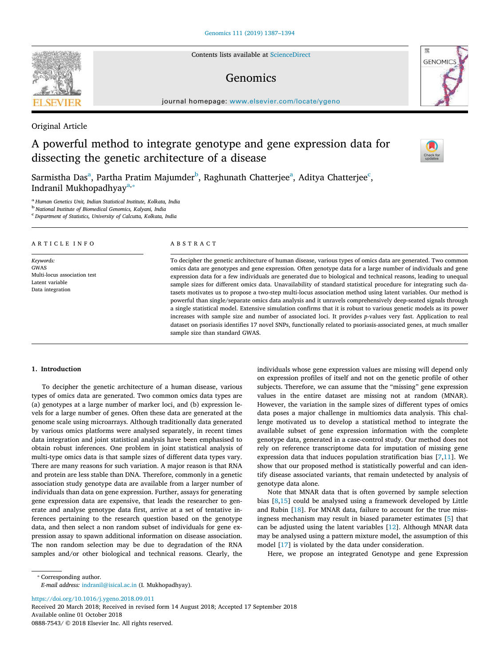Contents lists available at [ScienceDirect](http://www.sciencedirect.com/science/journal/08887543)

# Genomics

journal homepage: [www.elsevier.com/locate/ygeno](https://www.elsevier.com/locate/ygeno)

# Original Article

# A powerful method to integrate genotype and gene expression data for dissecting the genetic architecture of a disease

S[a](#page-0-0)rmistha Das<sup>a</sup>, Partha Pratim Majumder<sup>[b](#page-0-1)</sup>, Raghunath Chatterjee<sup>a</sup>, Aditya Chatterjee<sup>[c](#page-0-2)</sup>, Indr[a](#page-0-0)nil Mukhopadhyay<sup>a,\*</sup>

<span id="page-0-0"></span>a *Human Genetics Unit, Indian Statistical Institute, Kolkata, India*

<span id="page-0-1"></span>b *National Institute of Biomedical Genomics, Kalyani, India*

<span id="page-0-2"></span>c *Department of Statistics, University of Calcutta, Kolkata, India*

# ARTICLE INFO

*Keywords:* GWAS Multi-locus association test Latent variable Data integration

#### ABSTRACT

To decipher the genetic architecture of human disease, various types of omics data are generated. Two common omics data are genotypes and gene expression. Often genotype data for a large number of individuals and gene expression data for a few individuals are generated due to biological and technical reasons, leading to unequal sample sizes for different omics data. Unavailability of standard statistical procedure for integrating such datasets motivates us to propose a two-step multi-locus association method using latent variables. Our method is powerful than single/separate omics data analysis and it unravels comprehensively deep-seated signals through a single statistical model. Extensive simulation confirms that it is robust to various genetic models as its power increases with sample size and number of associated loci. It provides *p*-values very fast. Application to real dataset on psoriasis identifies 17 novel SNPs, functionally related to psoriasis-associated genes, at much smaller sample size than standard GWAS.

# **1. Introduction**

To decipher the genetic architecture of a human disease, various types of omics data are generated. Two common omics data types are (a) genotypes at a large number of marker loci, and (b) expression levels for a large number of genes. Often these data are generated at the genome scale using microarrays. Although traditionally data generated by various omics platforms were analysed separately, in recent times data integration and joint statistical analysis have been emphasised to obtain robust inferences. One problem in joint statistical analysis of multi-type omics data is that sample sizes of different data types vary. There are many reasons for such variation. A major reason is that RNA and protein are less stable than DNA. Therefore, commonly in a genetic association study genotype data are available from a larger number of individuals than data on gene expression. Further, assays for generating gene expression data are expensive, that leads the researcher to generate and analyse genotype data first, arrive at a set of tentative inferences pertaining to the research question based on the genotype data, and then select a non random subset of individuals for gene expression assay to spawn additional information on disease association. The non random selection may be due to degradation of the RNA samples and/or other biological and technical reasons. Clearly, the individuals whose gene expression values are missing will depend only on expression profiles of itself and not on the genetic profile of other subjects. Therefore, we can assume that the "missing" gene expression values in the entire dataset are missing not at random (MNAR). However, the variation in the sample sizes of different types of omics data poses a major challenge in multiomics data analysis. This challenge motivated us to develop a statistical method to integrate the available subset of gene expression information with the complete genotype data, generated in a case-control study. Our method does not rely on reference transcriptome data for imputation of missing gene expression data that induces population stratification bias[[7](#page-6-0),[11\]](#page-7-0). We show that our proposed method is statistically powerful and can identify disease associated variants, that remain undetected by analysis of genotype data alone.

Note that MNAR data that is often governed by sample selection bias [\[8,](#page-6-1)[15\]](#page-7-1) could be analysed using a framework developed by Little and Rubin[[18\]](#page-7-2). For MNAR data, failure to account for the true missingness mechanism may result in biased parameter estimates[[5](#page-6-2)] that can be adjusted using the latent variables[[12\]](#page-7-3). Although MNAR data may be analysed using a pattern mixture model, the assumption of this model [\[17\]](#page-7-4) is violated by the data under consideration.

Here, we propose an integrated Genotype and gene Expression

<span id="page-0-3"></span>⁎ Corresponding author.

*E-mail address:* [indranil@isical.ac.in](mailto:indranil@isical.ac.in) (I. Mukhopadhyay).

<https://doi.org/10.1016/j.ygeno.2018.09.011>

Received 20 March 2018; Received in revised form 14 August 2018; Accepted 17 September 2018 Available online 01 October 2018

0888-7543/ © 2018 Elsevier Inc. All rights reserved.





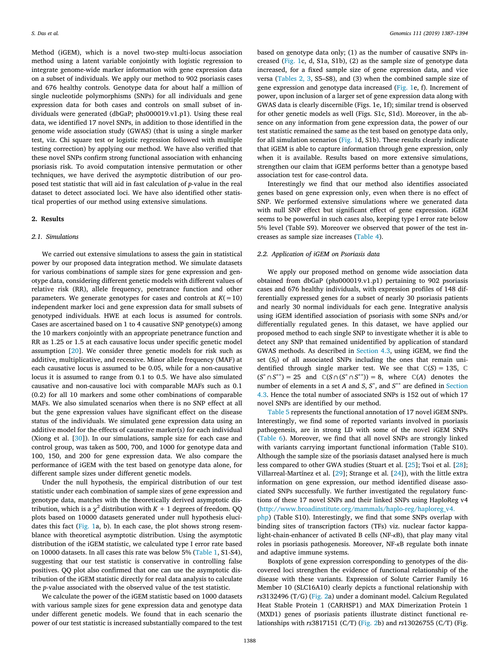Method (iGEM), which is a novel two-step multi-locus association method using a latent variable conjointly with logistic regression to integrate genome-wide marker information with gene expression data on a subset of individuals. We apply our method to 902 psoriasis cases and 676 healthy controls. Genotype data for about half a million of single nucleotide polymorphisms (SNPs) for all individuals and gene expression data for both cases and controls on small subset of individuals were generated (dbGaP; phs000019.v1.p1). Using these real data, we identified 17 novel SNPs, in addition to those identified in the genome wide association study (GWAS) (that is using a single marker test, viz. Chi square test or logistic regression followed with multiple testing correction) by applying our method. We have also verified that these novel SNPs confirm strong functional association with enhancing psoriasis risk. To avoid computation intensive permutation or other techniques, we have derived the asymptotic distribution of our proposed test statistic that will aid in fast calculation of *p*-value in the real dataset to detect associated loci. We have also identified other statistical properties of our method using extensive simulations.

#### **2. Results**

#### *2.1. Simulations*

We carried out extensive simulations to assess the gain in statistical power by our proposed data integration method. We simulate datasets for various combinations of sample sizes for gene expression and genotype data, considering different genetic models with different values of relative risk (RR), allele frequency, penetrance function and other parameters. We generate genotypes for cases and controls at  $K(=10)$ independent marker loci and gene expression data for small subsets of genotyped individuals. HWE at each locus is assumed for controls. Cases are ascertained based on 1 to 4 causative SNP genotype(s) among the 10 markers conjointly with an appropriate penetrance function and RR as 1.25 or 1.5 at each causative locus under specific genetic model assumption[[20\]](#page-7-5). We consider three genetic models for risk such as additive, multiplicative, and recessive. Minor allele frequency (MAF) at each causative locus is assumed to be 0.05, while for a non-causative locus it is assumed to range from 0.1 to 0.5. We have also simulated causative and non-causative loci with comparable MAFs such as 0.1 (0.2) for all 10 markers and some other combinations of comparable MAFs. We also simulated scenarios when there is no SNP effect at all but the gene expression values have significant effect on the disease status of the individuals. We simulated gene expression data using an additive model for the effects of causative marker(s) for each individual (Xiong et al. [\[30](#page-7-6)]). In our simulations, sample size for each case and control group, was taken as 500, 700, and 1000 for genotype data and 100, 150, and 200 for gene expression data. We also compare the performance of iGEM with the test based on genotype data alone, for different sample sizes under different genetic models.

Under the null hypothesis, the empirical distribution of our test statistic under each combination of sample sizes of gene expression and genotype data, matches with the theoretically derived asymptotic distribution, which is a  $\chi^2$  distribution with  $K+1$  degrees of freedom. QQ plots based on 10000 datasets generated under null hypothesis elucidates this fact([Fig. 1](#page-2-0)a, b). In each case, the plot shows strong resemblance with theoretical asymptotic distribution. Using the asymptotic distribution of the iGEM statistic, we calculated type I error rate based on 10000 datasets. In all cases this rate was below 5% [\(Table 1](#page-2-1), S1-S4), suggesting that our test statistic is conservative in controlling false positives. QQ plot also confirmed that one can use the asymptotic distribution of the iGEM statistic directly for real data analysis to calculate the *p*-value associated with the observed value of the test statistic.

We calculate the power of the iGEM statistic based on 1000 datasets with various sample sizes for gene expression data and genotype data under different genetic models. We found that in each scenario the power of our test statistic is increased substantially compared to the test based on genotype data only; (1) as the number of causative SNPs increased([Fig. 1](#page-2-0)c, d, S1a, S1b), (2) as the sample size of genotype data increased, for a fixed sample size of gene expression data, and vice versa([Tables 2, 3](#page-3-0), S5–S8), and (3) when the combined sample size of gene expression and genotype data increased([Fig. 1](#page-2-0)e, f). Increment of power, upon inclusion of a larger set of gene expression data along with GWAS data is clearly discernible (Figs. 1e, 1f); similar trend is observed for other genetic models as well (Figs. S1c, S1d). Moreover, in the absence on any information from gene expression data, the power of our test statistic remained the same as the test based on genotype data only, for all simulation scenarios([Fig. 1d](#page-2-0), S1b). These results clearly indicate that iGEM is able to capture information through gene expression, only when it is available. Results based on more extensive simulations, strengthen our claim that iGEM performs better than a genotype based association test for case-control data.

Interestingly we find that our method also identifies associated genes based on gene expression only, even when there is no effect of SNP. We performed extensive simulations where we generated data with null SNP effect but significant effect of gene expression. iGEM seems to be powerful in such cases also, keeping type I error rate below 5% level (Table S9). Moreover we observed that power of the test increases as sample size increases [\(Table 4\)](#page-3-1).

# *2.2. Application of iGEM on Psoriasis data*

We apply our proposed method on genome wide association data obtained from dbGaP (phs000019.v1.p1) pertaining to 902 psoriasis cases and 676 healthy individuals, with expression profiles of 148 differentially expressed genes for a subset of nearly 30 psoriasis patients and nearly 30 normal individuals for each gene. Integrative analysis using iGEM identified association of psoriasis with some SNPs and/or differentially regulated genes. In this dataset, we have applied our proposed method to each single SNP to investigate whether it is able to detect any SNP that remained unidentified by application of standard GWAS methods. As described in [Section 4.3,](#page-5-0) using iGEM, we find the set  $(S_I)$  of all associated SNPs including the ones that remain unidentified through single marker test. We see that  $\mathbb{C}(S) = 135, \mathbb{C}$  $(S^* \cap S^{**}) = 25$  and  $\mathbb{C}(S \cap (S^* \cap S^{**})) = 8$ , where  $\mathbb{C}(A)$  denotes the number of elements in a set *A* and *S*, *S*<sup>∗</sup>, and *S*<sup>∗∗</sup> are defined in [Section](#page-5-0) [4.3.](#page-5-0) Hence the total number of associated SNPs is 152 out of which 17 novel SNPs are identified by our method.

[Table 5](#page-4-0) represents the functional annotation of 17 novel iGEM SNPs. Interestingly, we find some of reported variants involved in psoriasis pathogenesis, are in strong LD with some of the novel iGEM SNPs ([Table 6\)](#page-4-1). Moreover, we find that all novel SNPs are strongly linked with variants carrying important functional information (Table S10). Although the sample size of the psoriasis dataset analysed here is much less compared to other GWA studies (Stuart et al. [\[25\]](#page-7-7); Tsoi et al. [\[28](#page-7-8)]; Villarreal-Martínez et al. [\[29](#page-7-9)]; Strange et al.[[24\]](#page-7-10)), with the little extra information on gene expression, our method identified disease associated SNPs successfully. We further investigated the regulatory functions of these 17 novel SNPs and their linked SNPs using HaploReg v4 ([http://www.broadinstitute.org/mammals/haplo-reg/haploreg\\_v4.](http://www.broadinstitute.org/mammals/haplo-reg/haploreg_v4.php)

[php](http://www.broadinstitute.org/mammals/haplo-reg/haploreg_v4.php)) (Table S10). Interestingly, we find that some SNPs overlap with binding sites of transcription factors (TFs) viz. nuclear factor kappalight-chain-enhancer of activated B cells (NF-*κ*B), that play many vital roles in psoriasis pathogenesis. Moreover, NF-*κ*B regulate both innate and adaptive immune systems.

Boxplots of gene expression corresponding to genotypes of the discovered loci strengthen the evidence of functional relationship of the disease with these variants. Expression of Solute Carrier Family 16 Member 10 (SLC16A10) clearly depicts a functional relationship with *rs*3132496 (T/G) [\(Fig. 2](#page-5-1)a) under a dominant model. Calcium Regulated Heat Stable Protein 1 (CARHSP1) and MAX Dimerization Protein 1 (MXD1) genes of psoriasis patients illustrate distinct functional relationships with *rs*3817151 (C/T) [\(Fig. 2](#page-5-1)b) and *rs*13026755 (C/T) (Fig.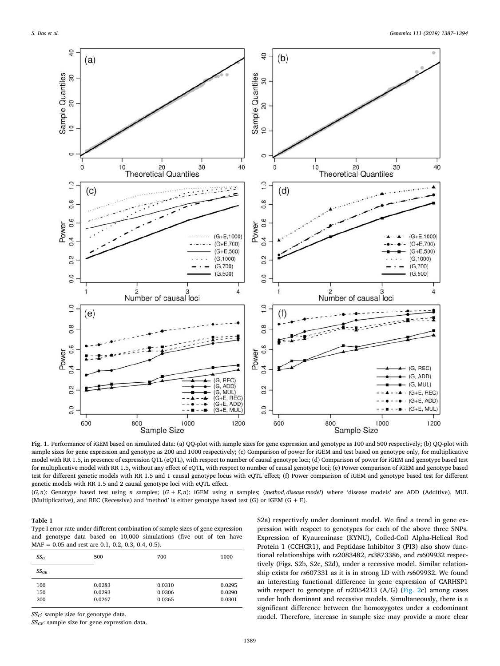<span id="page-2-0"></span>

**Fig. 1.** Performance of iGEM based on simulated data: (a) QQ-plot with sample sizes for gene expression and genotype as 100 and 500 respectively; (b) QQ-plot with sample sizes for gene expression and genotype as 200 and 1000 respectively; (c) Comparison of power for iGEM and test based on genotype only, for multiplicative model with RR 1.5, in presence of expression QTL (eQTL), with respect to number of causal genotype loci; (d) Comparison of power for iGEM and genotype based test for multiplicative model with RR 1.5, without any effect of eQTL, with respect to number of causal genotype loci; (e) Power comparison of iGEM and genotype based test for different genetic models with RR 1.5 and 1 causal genotype locus with eQTL effect; (f) Power comparison of iGEM and genotype based test for different genetic models with RR 1.5 and 2 causal genotype loci with eQTL effect.

(*G*,*n*): Genotype based test using *n* samples; (*G* + *E*,*n*): iGEM using *n* samples; (*method*,*disease model*) where 'disease models' are ADD (Additive), MUL (Multiplicative), and REC (Recessive) and 'method' is either genotype based test (G) or iGEM (G + E).

# <span id="page-2-1"></span>**Table 1**

Type I error rate under different combination of sample sizes of gene expression and genotype data based on 10,000 simulations (five out of ten have MAF = 0.05 and rest are 0.1, 0.2, 0.3, 0.4, 0.5).

| $SS_G$    | 500    | 700    | 1000   |
|-----------|--------|--------|--------|
| $SS_{GE}$ |        |        |        |
| 100       | 0.0283 | 0.0310 | 0.0295 |
| 150       | 0.0293 | 0.0306 | 0.0290 |
| 200       | 0.0267 | 0.0265 | 0.0301 |

*SSG*: sample size for genotype data.

*SSGE*: sample size for gene expression data.

S2a) respectively under dominant model. We find a trend in gene expression with respect to genotypes for each of the above three SNPs. Expression of Kynureninase (KYNU), Coiled-Coil Alpha-Helical Rod Protein 1 (CCHCR1), and Peptidase Inhibitor 3 (PI3) also show functional relationships with *rs*2083482, *rs*3873386, and *rs*609932 respectively (Figs. S2b, S2c, S2d), under a recessive model. Similar relationship exists for *rs*607331 as it is in strong LD with *rs*609932. We found an interesting functional difference in gene expression of CARHSP1 with respect to genotype of *rs*2054213 (A/G) [\(Fig. 2c](#page-5-1)) among cases under both dominant and recessive models. Simultaneously, there is a significant difference between the homozygotes under a codominant model. Therefore, increase in sample size may provide a more clear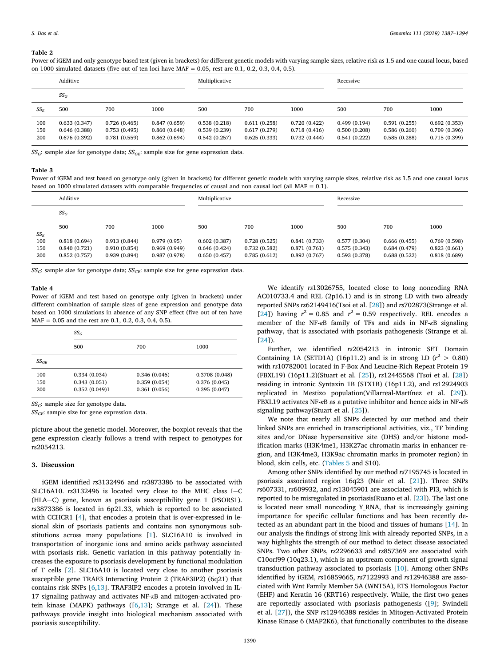# <span id="page-3-0"></span>**Table 2**

Power of iGEM and only genotype based test (given in brackets) for different genetic models with varying sample sizes, relative risk as 1.5 and one causal locus, based on 1000 simulated datasets (five out of ten loci have MAF =  $0.05$ , rest are 0.1, 0.2, 0.3, 0.4, 0.5).

| Additive          |                                              |                                              | Multiplicative                               |                                              |                                              | Recessive                                    |                                              |                                              |                                              |
|-------------------|----------------------------------------------|----------------------------------------------|----------------------------------------------|----------------------------------------------|----------------------------------------------|----------------------------------------------|----------------------------------------------|----------------------------------------------|----------------------------------------------|
|                   | $SS_G$                                       |                                              |                                              |                                              |                                              |                                              |                                              |                                              |                                              |
| $SS_E$            | 500                                          | 700                                          | 1000                                         | 500                                          | 700                                          | 1000                                         | 500                                          | 700                                          | 1000                                         |
| 100<br>150<br>200 | 0.633(0.347)<br>0.646(0.388)<br>0.676(0.392) | 0.726(0.465)<br>0.753(0.495)<br>0.781(0.559) | 0.847(0.659)<br>0.860(0.648)<br>0.862(0.694) | 0.538(0.218)<br>0.539(0.239)<br>0.542(0.257) | 0.611(0.258)<br>0.617(0.279)<br>0.625(0.333) | 0.720(0.422)<br>0.718(0.416)<br>0.732(0.444) | 0.499(0.194)<br>0.500(0.208)<br>0.541(0.222) | 0.591(0.255)<br>0.586(0.260)<br>0.585(0.288) | 0.692(0.353)<br>0.709(0.396)<br>0.715(0.399) |

*SSG*: sample size for genotype data; *SSGE*: sample size for gene expression data.

#### **Table 3**

Power of iGEM and test based on genotype only (given in brackets) for different genetic models with varying sample sizes, relative risk as 1.5 and one causal locus based on 1000 simulated datasets with comparable frequencies of causal and non causal loci (all MAF =  $0.1$ ).

|                   | Additive                                     |                                              |                                             | Multiplicative                               |                                              |                                              | Recessive                                    |                                              |                                              |
|-------------------|----------------------------------------------|----------------------------------------------|---------------------------------------------|----------------------------------------------|----------------------------------------------|----------------------------------------------|----------------------------------------------|----------------------------------------------|----------------------------------------------|
|                   | $SS_G$                                       |                                              |                                             |                                              |                                              |                                              |                                              |                                              |                                              |
| $SS_E$            | 500                                          | 700                                          | 1000                                        | 500                                          | 700                                          | 1000                                         | 500                                          | 700                                          | 1000                                         |
| 100<br>150<br>200 | 0.818(0.694)<br>0.840(0.721)<br>0.852(0.757) | 0.913(0.844)<br>0.910(0.854)<br>0.939(0.894) | 0.979(0.95)<br>0.969(0.949)<br>0.987(0.978) | 0.602(0.387)<br>0.646(0.424)<br>0.650(0.457) | 0.728(0.525)<br>0.732(0.582)<br>0.785(0.612) | 0.841(0.733)<br>0.871(0.761)<br>0.892(0.767) | 0.577(0.304)<br>0.575(0.343)<br>0.593(0.378) | 0.666(0.455)<br>0.684(0.479)<br>0.688(0.522) | 0.769(0.598)<br>0.823(0.661)<br>0.818(0.689) |

*SSG*: sample size for genotype data; *SSGE*: sample size for gene expression data.

#### <span id="page-3-1"></span>**Table 4**

Power of iGEM and test based on genotype only (given in brackets) under different combination of sample sizes of gene expression and genotype data based on 1000 simulations in absence of any SNP effect (five out of ten have MAF = 0.05 and the rest are 0.1, 0.2, 0.3, 0.4, 0.5).

|           | $SS_G$        |              |               |  |  |  |  |
|-----------|---------------|--------------|---------------|--|--|--|--|
|           | 500           | 700          | 1000          |  |  |  |  |
| $SS_{GE}$ |               |              |               |  |  |  |  |
| 100       | 0.334(0.034)  | 0.346(0.046) | 0.3708(0.048) |  |  |  |  |
| 150       | 0.343(0.051)  | 0.359(0.054) | 0.376(0.045)  |  |  |  |  |
| 200       | 0.352(0.049)1 | 0.361(0.056) | 0.395(0.047)  |  |  |  |  |

*SSG*: sample size for genotype data.

*SSGE*: sample size for gene expression data.

picture about the genetic model. Moreover, the boxplot reveals that the gene expression clearly follows a trend with respect to genotypes for rs2054213.

#### **3. Discussion**

iGEM identified *rs*3132496 and *rs*3873386 to be associated with SLC16A10. *rs*3132496 is located very close to the MHC class I-C (HLA-C) gene, known as psoriasis susceptibility gene 1 (PSORS1). *rs*3873386 is located in 6p21.33, which is reported to be associated with CCHCR1 [\[4\]](#page-6-3), that encodes a protein that is over-expressed in lesional skin of psoriasis patients and contains non synonymous substitutions across many populations[[1](#page-6-4)]. SLC16A10 is involved in transportation of inorganic ions and amino acids pathway associated with psoriasis risk. Genetic variation in this pathway potentially increases the exposure to psoriasis development by functional modulation of T cells[[2\]](#page-6-5). SLC16A10 is located very close to another psoriasis susceptible gene TRAF3 Interacting Protein 2 (TRAF3IP2) (6q21) that contains risk SNPs[[6](#page-6-6),[13\]](#page-7-11). TRAF3IP2 encodes a protein involved in IL-17 signaling pathway and activates NF-*κ*B and mitogen-activated proteinkinase (MAPK) pathways  $([6,13]$  $([6,13]$  $([6,13]$  $([6,13]$ ; Strange et al.  $[24]$ ). These pathways provide insight into biological mechanism associated with psoriasis susceptibility.

We identify *rs*13026755, located close to long noncoding RNA AC010733.4 and REL (2p16.1) and is in strong LD with two already reported SNPs *rs*62149416(Tsoi et al. [\[28\]](#page-7-8)) and *rs*702873(Strange et al. [[24\]](#page-7-10)) having  $r^2 = 0.85$  and  $r^2 = 0.59$  respectively. REL encodes a member of the NF-*κ*B family of TFs and aids in NF-*κ*B signaling pathway, that is associated with psoriasis pathogenesis (Strange et al. [[24\]](#page-7-10)).

Further, we identified *rs*2054213 in intronic SET Domain Containing 1A (SETD1A) (16p11.2) and is in strong LD  $(r^2 > 0.80)$ with *rs*10782001 located in F-Box And Leucine-Rich Repeat Protein 19 (FBXL19) (16p11.2)(Stuart et al.[[25\]](#page-7-7)), *rs*12445568 (Tsoi et al. [\[28](#page-7-8)]) residing in intronic Syntaxin 1B (STX1B) (16p11.2), and *rs*12924903 replicated in Mestizo population(Villarreal-Martínez et al. [\[29](#page-7-9)]). FBXL19 activates NF-*κ*B as a putative inhibitor and hence aids in NF-*κ*B signaling pathway(Stuart et al. [\[25](#page-7-7)]).

We note that nearly all SNPs detected by our method and their linked SNPs are enriched in transcriptional activities, viz., TF binding sites and/or DNase hypersensitive site (DHS) and/or histone modification marks (H3K4me1, H3K27ac chromatin marks in enhancer region, and H3K4me3, H3K9ac chromatin marks in promoter region) in blood, skin cells, etc. [\(Tables 5](#page-4-0) and S10).

Among other SNPs identified by our method *rs*7195745 is located in psoriasis associated region 16q23 (Nair et al.[[21\]](#page-7-12)). Three SNPs *rs*607331, *rs*609932, and *rs*13045901 are associated with PI3, which is reported to be misregulated in psoriasis(Ruano et al.[[23\]](#page-7-13)). The last one is located near small noncoding Y\_RNA, that is increasingly gaining importance for specific cellular functions and has been recently detected as an abundant part in the blood and tissues of humans [\[14](#page-7-14)]. In our analysis the findings of strong link with already reported SNPs, in a way highlights the strength of our method to detect disease associated SNPs. Two other SNPs, *rs*2296633 and *rs*857369 are associated with C10orf99 (10q23.1), which is an upstream component of growth signal transduction pathway associated to psoriasis[[10\]](#page-7-15). Among other SNPs identified by iGEM, *rs*16859665, *rs*7122993 and *rs*12946388 are associated with Wnt Family Member 5A (WNT5A), ETS Homologous Factor (EHF) and Keratin 16 (KRT16) respectively. While, the first two genes are reportedly associated with psoriasis pathogenesis([[9](#page-7-16)]; Swindell et al.[[27\]](#page-7-17)), the SNP *rs*12946388 resides in Mitogen-Activated Protein Kinase Kinase 6 (MAP2K6), that functionally contributes to the disease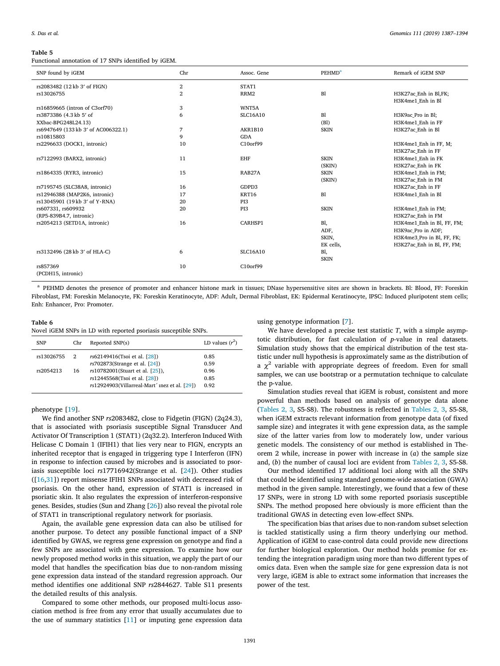### <span id="page-4-0"></span>**Table 5**

Functional annotation of 17 SNPs identified by iGEM.

| SNP found by iGEM                   | Chr            | Assoc. Gene     | <b>PEHMD</b> <sup>a</sup> | Remark of iGEM SNP         |
|-------------------------------------|----------------|-----------------|---------------------------|----------------------------|
| rs2083482 (12 kb 3' of FIGN)        | $\mathbf{2}$   | STAT1           |                           |                            |
| rs13026755                          | $\overline{2}$ | RRM2            | B1                        | H3K27ac Enh in Bl,FK;      |
|                                     |                |                 |                           | H3K4me1 Enh in Bl          |
| rs16859665 (intron of C3orf70)      | 3              | WNT5A           |                           |                            |
| rs3873386 (4.3 kb 5' of             | 6              | <b>SLC16A10</b> | B1                        | H3K9ac Pro in Bl;          |
| XXbac-BPG248L24.13)                 |                |                 | (B1)                      | H3K4me1 Enh in FF          |
| rs6947649 (133 kb 3' of AC006322.1) | 7              | AKR1B10         | <b>SKIN</b>               | H3K27ac Enh in Bl          |
| rs10815803                          | $\mathbf Q$    | <b>GDA</b>      |                           |                            |
| rs2296633 (DOCK1, intronic)         | 10             | C10orf99        |                           | H3K4me1 Enh in FF, M;      |
|                                     |                |                 |                           | H3K27ac Enh in FF          |
| rs7122993 (BARX2, intronic)         | 11             | <b>EHF</b>      | <b>SKIN</b>               | H3K4me1 Enh in FK          |
|                                     |                |                 | (SKIN)                    | H3K27ac Enh in FK          |
| rs1864335 (RYR3, intronic)          | 15             | RAB27A          | <b>SKIN</b>               | H3K4me1 Enh in FM;         |
|                                     |                |                 | (SKIN)                    | H3K27ac Enh in FM          |
| rs7195745 (SLC38A8, intronic)       | 16             | GDPD3           |                           | H3K27ac Enh in FF          |
| rs12946388 (MAP2K6, intronic)       | 17             | KRT16           | B1                        | H3K4me1 Enh in Bl          |
| rs13045901 (19kb 3' of Y·RNA)       | 20             | PI3             |                           |                            |
| rs607331, rs609932                  | 20             | PI3             | <b>SKIN</b>               | H3K4me1 Enh in FM;         |
| (RP5-839B4.7, intronic)             |                |                 |                           | H3K27ac Enh in FM          |
| rs2054213 (SETD1A, intronic)        | 16             | CARHSP1         | Bl,                       | H3K4me1 Enh in Bl, FF, FM; |
|                                     |                |                 | ADF,                      | H3K9ac Pro in ADF;         |
|                                     |                |                 | SKIN,                     | H3K4me3 Pro in Bl, FF, FK; |
|                                     |                |                 | EK cells,                 | H3K27ac Enh in Bl, FF, FM; |
| rs3132496 (28 kb 3' of HLA-C)       | 6              | SLC16A10        | Bl,                       |                            |
|                                     |                |                 | <b>SKIN</b>               |                            |
| rs857369                            | 10             | C10orf99        |                           |                            |
| (PCDH15, intronic)                  |                |                 |                           |                            |

<span id="page-4-2"></span><sup>a</sup> PEHMD denotes the presence of promoter and enhancer histone mark in tissues; DNase hypersensitive sites are shown in brackets. Bl: Blood, FF: Foreskin Fibroblast, FM: Foreskin Melanocyte, FK: Foreskin Keratinocyte, ADF: Adult, Dermal Fibroblast, EK: Epidermal Keratinocyte, IPSC: Induced pluripotent stem cells; Enh: Enhancer, Pro: Promoter.

#### <span id="page-4-1"></span>**Table 6**

Novel iGEM SNPs in LD with reported psoriasis susceptible SNPs.

| <b>SNP</b> | Chr | Reported SNP(s)                                  | LD values $(r^2)$ |
|------------|-----|--------------------------------------------------|-------------------|
| rs13026755 | 2   | rs62149416(Tsoi et al. [28])                     | 0.85              |
|            |     | rs702873(Strange et al. [24])                    | 0.59              |
| rs2054213  | 16  | rs10782001(Stuart et al. [25]),                  | 0.96              |
|            |     | rs12445568(Tsoi et al. [28])                     | 0.85              |
|            |     | $rs12924903$ (Villarreal-Mart' inez et al. [29]) | 0.92              |
|            |     |                                                  |                   |

phenotype[[19\]](#page-7-18).

We find another SNP *rs*2083482, close to Fidgetin (FIGN) (2q24.3), that is associated with psoriasis susceptible Signal Transducer And Activator Of Transcription 1 (STAT1) (2q32.2). Interferon Induced With Helicase C Domain 1 (IFIH1) that lies very near to FIGN, encrypts an inherited receptor that is engaged in triggering type I Interferon (IFN) in response to infection caused by microbes and is associated to psoriasis susceptible loci *rs*17716942(Strange et al.[[24\]](#page-7-10)). Other studies ([[16](#page-7-19)[,31](#page-7-20)]) report missense IFIH1 SNPs associated with decreased risk of psoriasis. On the other hand, expression of STAT1 is increased in psoriatic skin. It also regulates the expression of interferon-responsive genes. Besides, studies (Sun and Zhang [\[26](#page-7-21)]) also reveal the pivotal role of STAT1 in transcriptional regulatory network for psoriasis.

Again, the available gene expression data can also be utilised for another purpose. To detect any possible functional impact of a SNP identified by GWAS, we regress gene expression on genotype and find a few SNPs are associated with gene expression. To examine how our newly proposed method works in this situation, we apply the part of our model that handles the specification bias due to non-random missing gene expression data instead of the standard regression approach. Our method identifies one additional SNP *rs*2844627. Table S11 presents the detailed results of this analysis.

Compared to some other methods, our proposed multi-locus association method is free from any error that usually accumulates due to the use of summary statistics[[11\]](#page-7-0) or imputing gene expression data using genotype information[[7](#page-6-0)].

We have developed a precise test statistic *T*, with a simple asymptotic distribution, for fast calculation of *p*-value in real datasets. Simulation study shows that the empirical distribution of the test statistic under null hypothesis is approximately same as the distribution of a  $\chi^2$  variable with appropriate degrees of freedom. Even for small samples, we can use bootstrap or a permutation technique to calculate the p-value.

Simulation studies reveal that iGEM is robust, consistent and more powerful than methods based on analysis of genotype data alone ([Tables 2, 3](#page-3-0), S5-S8). The robustness is reflected in [Tables 2, 3](#page-3-0), S5-S8, when iGEM extracts relevant information from genotype data (of fixed sample size) and integrates it with gene expression data, as the sample size of the latter varies from low to moderately low, under various genetic models. The consistency of our method is established in Theorem 2 while, increase in power with increase in (*a*) the sample size and, (*b*) the number of causal loci are evident from [Tables 2, 3,](#page-3-0) S5-S8.

Our method identified 17 additional loci along with all the SNPs that could be identified using standard genome-wide association (GWA) method in the given sample. Interestingly, we found that a few of these 17 SNPs, were in strong LD with some reported psoriasis susceptible SNPs. The method proposed here obviously is more efficient than the traditional GWAS in detecting even low-effect SNPs.

The specification bias that arises due to non-random subset selection is tackled statistically using a firm theory underlying our method. Application of iGEM to case-control data could provide new directions for further biological exploration. Our method holds promise for extending the integration paradigm using more than two different types of omics data. Even when the sample size for gene expression data is not very large, iGEM is able to extract some information that increases the power of the test.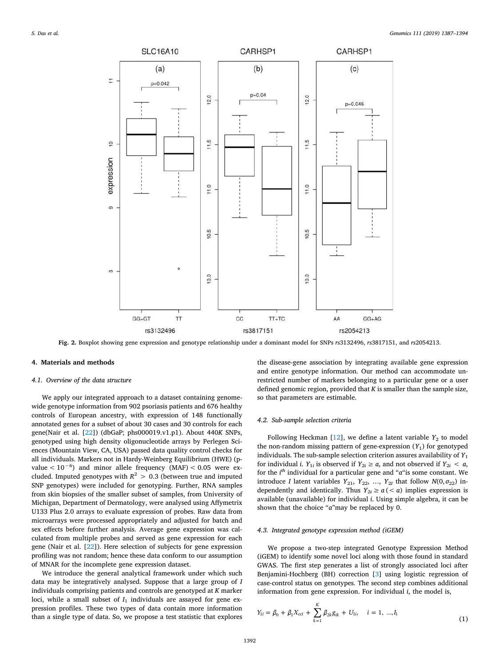<span id="page-5-1"></span>

**Fig. 2.** Boxplot showing gene expression and genotype relationship under a dominant model for SNPs *rs*3132496, *rs*3817151, and *rs*2054213.

# **4. Materials and methods**

# *4.1. Overview of the data structure*

We apply our integrated approach to a dataset containing genomewide genotype information from 902 psoriasis patients and 676 healthy controls of European ancestry, with expression of 148 functionally annotated genes for a subset of about 30 cases and 30 controls for each gene(Nair et al. [\[22](#page-7-22)]) (dbGaP; phs000019.v1.p1). About 440*K* SNPs, genotyped using high density oligonucleotide arrays by Perlegen Sciences (Mountain View, CA, USA) passed data quality control checks for all individuals. Markers not in Hardy-Weinberg Equilibrium (HWE) (pvalue < 10−6) and minor allele frequency (MAF) < 0.05 were excluded. Imputed genotypes with  $R^2 > 0.3$  (between true and imputed SNP genotypes) were included for genotyping. Further, RNA samples from skin biopsies of the smaller subset of samples, from University of Michigan, Department of Dermatology, were analysed using Affymetrix U133 Plus 2.0 arrays to evaluate expression of probes. Raw data from microarrays were processed appropriately and adjusted for batch and sex effects before further analysis. Average gene expression was calculated from multiple probes and served as gene expression for each gene (Nair et al. [\[22](#page-7-22)]). Here selection of subjects for gene expression profiling was not random; hence these data conform to our assumption of MNAR for the incomplete gene expression dataset.

We introduce the general analytical framework under which such data may be integratively analysed. Suppose that a large group of *I* individuals comprising patients and controls are genotyped at *K* marker loci, while a small subset of  $I_1$  individuals are assayed for gene expression profiles. These two types of data contain more information than a single type of data. So, we propose a test statistic that explores

the disease-gene association by integrating available gene expression and entire genotype information. Our method can accommodate unrestricted number of markers belonging to a particular gene or a user defined genomic region, provided that *K* is smaller than the sample size, so that parameters are estimable.

# *4.2. Sub-sample selection criteria*

FollowingHeckman  $[12]$  $[12]$ , we define a latent variable  $Y_2$  to model the non-random missing pattern of gene-expression  $(Y_1)$  for genotyped individuals. The sub-sample selection criterion assures availability of  $Y_1$ for individual *i*.  $Y_{1i}$  is observed if  $Y_{2i} \ge a$ , and not observed if  $Y_{2i} < a$ , for the *i th* individual for a particular gene and "*a*"is some constant. We introduce *I* latent variables  $Y_{21}$ ,  $Y_{22}$ , ...,  $Y_{2I}$  that follow  $N(0, \sigma_{22})$  independently and identically. Thus  $Y_{2i} \ge a \, (< a)$  implies expression is available (unavailable) for individual *i*. Using simple algebra, it can be shown that the choice "*a*"may be replaced by 0.

#### <span id="page-5-0"></span>*4.3. Integrated genotype expression method (iGEM)*

We propose a two-step integrated Genotype Expression Method (iGEM) to identify some novel loci along with those found in standard GWAS. The first step generates a list of strongly associated loci after Benjamini-Hochberg (BH) correction[[3\]](#page-6-7) using logistic regression of case-control status on genotypes. The second step combines additional information from gene expression. For individual *i*, the model is,

<span id="page-5-2"></span>
$$
Y_{1i} = \beta_0 + \beta_1 X_{cci} + \sum_{k=1}^{K} \beta_{2k} g_{ik} + U_{1i}, \quad i = 1, ..., I_1
$$
\n(1)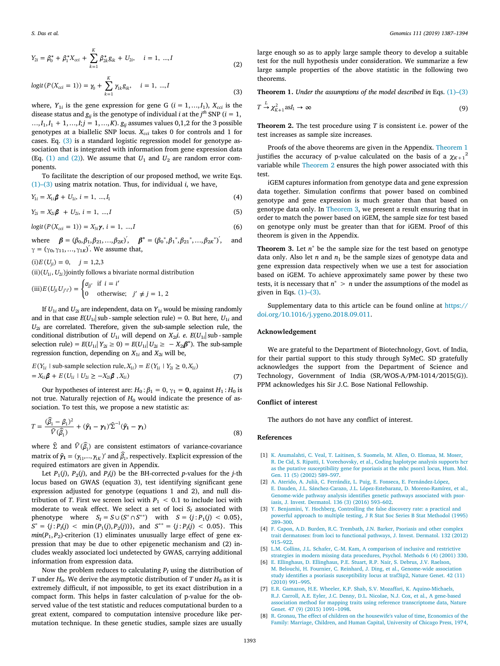$$
Y_{2i} = \beta_0^* + \beta_1^* X_{\text{cc}i} + \sum_{k=1}^K \beta_{2k}^* g_{ik} + U_{2i}, \quad i = 1, ..., I
$$
 (2)

<span id="page-6-8"></span>
$$
logit(P(X_{\text{cc}i} = 1)) = \gamma_0 + \sum_{k=1}^{K} \gamma_{1k} g_{ik}, \quad i = 1, ..., I
$$
\n(3)

where,  $Y_{1i}$  is the gene expression for gene G ( $i = 1, ..., I_1$ ),  $X_{cci}$  is the disease status and  $g_{ij}$  is the genotype of individual *i* at the  $j^{th}$  SNP ( $i = 1$ , ..., $I_1, I_1 + 1, \ldots, I; j = 1, \ldots, K$ .  $g_{ij}$  assumes values 0,1,2 for the 3 possible genotypes at a biallelic SNP locus. *Xcci* takes 0 for controls and 1 for cases. Eq. [\(3\)](#page-6-8) is a standard logistic regression model for genotype association that is integrated with information from gene expression data (Eq.  $(1)$  and  $(2)$ ). We assume that  $U_1$  and  $U_2$  are random error components.

To facilitate the description of our proposed method, we write Eqs. [\(1\)–\(3\)](#page-5-2) using matrix notation. Thus, for individual *i*, we have,

$$
Y_{1i} = X_{1i}\boldsymbol{\beta} + U_{1i}, \ i = 1, \ ..., I_1
$$
 (4)

$$
Y_{2i} = X_{2i}\beta + U_{2i}, i = 1, ..., I
$$
 (5)

$$
logit(P(X_{\text{cc}i} = 1)) = X_{3i}\gamma, i = 1, ..., I
$$
\n(6)

where  $\beta = (\beta_0, \beta_1, \beta_{21}, \dots, \beta_{2K})^{'}, \quad \beta^* = (\beta_0^*, \beta_1^*, \beta_{21}^*, \dots, \beta_{2K}^*)^{'}, \quad \text{and}$ *γ* = ( $γ_0, γ_{11}, ..., γ_{1K}$ )'. We assume that,

 $(i) E(U_{ji}) = 0, \quad j = 1,2,3$ 

 $\left( \text{ii} \right) \left( U_{1i}, U_{2i} \right)$  jointly follows a bivariate normal distribution

(iii) 
$$
E(U_{ji}U_{j'i'}) = \begin{cases} \sigma_{jj'} & \text{if } i = i' \\ 0 & \text{otherwise}; \end{cases}
$$
  $j' \neq j = 1, 2$ 

If  $U_{1i}$  and  $U_{2i}$  are independent, data on  $Y_{1i}$  would be missing randomly and in that case  $E(U_{1i}|\text{sub-sample selection rule}) = 0$ . But here,  $U_{1i}$  and  $U_{2i}$  are correlated. Therefore, given the sub-sample selection rule, the conditional distribution of  $U_{1i}$  will depend on  $X_{2i}$ i. *e*.  $E(U_{1i}|\,\mathrm{sub}$  - sample selection rule) =  $E(U_{1i} | Y_{2i} \ge 0) = E(U_{1i} | U_{2i} \ge -X_{2i} \beta^*)$ . The sub-sample regression function, depending on  $X_{1i}$  and  $X_{2i}$  will be,

$$
E(Y_{1i} \mid \text{sub-sample selection rule}, X_{1i}) = E(Y_{1i} \mid Y_{2i} \ge 0, X_{1i})
$$
  
=  $X_{1i} \beta + E(U_{1i} \mid U_{2i} \ge -X_{2i} \beta, X_{1i})$  (7)

Our hypotheses of interest are:  $H_0: \beta_1 = 0$ ,  $\gamma_1 = 0$ , against  $H_1: H_0$  is not true. Naturally rejection of  $H_0$  would indicate the presence of association. To test this, we propose a new statistic as:

$$
T = \frac{(\hat{\beta}_1 - \beta_1)^2}{\hat{V}(\hat{\beta}_1)} + (\hat{\gamma}_1 - \gamma_1)^{\hat{\Sigma}^{-1}}(\hat{\gamma}_1 - \gamma_1)
$$
\n(8)

where  $\widehat{\Sigma}$  and  $\widehat{V}(\widehat{\beta_1})$  are consistent estimators of variance-covariance matrix of  $\hat{\mathbf{y}}_1 = (\gamma_{11}, ..., \gamma_{1K})'$  and  $\widehat{\beta}_1$ , respectively. Explicit expression of the required estimators are given in Appendix.

Let  $P_1(j)$ ,  $P_2(j)$ , and  $P_I(j)$  be the BH-corrected *p*-values for the *j*-th locus based on GWAS (equation 3), test identifying significant gene expression adjusted for genotype (equations 1 and 2), and null distribution of *T*. First we screen loci with  $P_1 < 0.1$  to include loci with moderate to weak effect. We select a set of loci  $S_I$  associated with phenotype where  $S_I = S \cup (S^* \cap S^{**})$  with  $S = \{j : P_1(j) < 0.05\}$ ,  $S^* = \{j : P_I(j) < \text{min}(P_1(j), P_2(j))\}, \text{ and } S^{**} = \{j : P_I(j) < 0.05\}.$  This  $min(P_1, P_2)$ -criterion (1) eliminates unusually large effect of gene expression that may be due to other epigenetic mechanism and (2) includes weakly associated loci undetected by GWAS, carrying additional information from expression data.

Now the problem reduces to calculating  $P_I$  using the distribution of *T* under  $H_0$ . We derive the asymptotic distribution of *T* under  $H_0$  as it is extremely difficult, if not impossible, to get its exact distribution in a compact form. This helps in faster calculation of p-value for the observed value of the test statistic and reduces computational burden to a great extent, compared to computation intensive procedure like permutation technique. In these genetic studies, sample sizes are usually

large enough so as to apply large sample theory to develop a suitable test for the null hypothesis under consideration. We summarize a few large sample properties of the above statistic in the following two theorems.

<span id="page-6-9"></span>**Theorem 1.** *Under the assumptions of the model described in* Eqs. [\(1\)–\(3\)](#page-5-2)

$$
T \xrightarrow{L} \chi^2_{K+1} \text{as} I_1 \to \infty \tag{9}
$$

<span id="page-6-10"></span>**Theorem 2.** The test procedure using *T* is consistent i.e. power of the test increases as sample size increases.

Proofs of the above theorems are given in the Appendix. [Theorem 1](#page-6-9) justifies the accuracy of p-value calculated on the basis of a  $\chi_{K+1}^2$ variable while [Theorem 2](#page-6-10) ensures the high power associated with this test.

iGEM captures information from genotype data and gene expression data together. Simulation confirms that power based on combined genotype and gene expression is much greater than that based on genotype data only. In [Theorem 3](#page-6-11), we present a result ensuring that in order to match the power based on iGEM, the sample size for test based on genotype only must be greater than that for iGEM. Proof of this theorem is given in the Appendix.

<span id="page-6-11"></span>**Theorem 3.** Let  $n^*$  be the sample size for the test based on genotype data only. Also let *n* and  $n_1$  be the sample sizes of genotype data and gene expression data respectively when we use a test for association based on iGEM. To achieve approximately same power by these two tests, it is necessary that  $n^*$  >  $n$  under the assumptions of the model as given in Eqs. [\(1\)–\(3\)](#page-5-2).

Supplementary data to this article can be found online at [https://](https://doi.org/10.1016/j.ygeno.2018.09.011) [doi.org/10.1016/j.ygeno.2018.09.011](https://doi.org/10.1016/j.ygeno.2018.09.011).

### **Acknowledgement**

We are grateful to the Department of Biotechnology, Govt. of India, for their partial support to this study through SyMeC. SD gratefully acknowledges the support from the Department of Science and Technology, Government of India (SR/WOS-A/PM-1014/2015(G)). PPM acknowledges his Sir J.C. Bose National Fellowship.

# **Conflict of interest**

The authors do not have any conflict of interest.

# **References**

- <span id="page-6-4"></span>[1] [K. Asumalahti, C. Veal, T. Laitinen, S. Suomela, M. Allen, O. Elomaa, M. Moser,](http://refhub.elsevier.com/S0888-7543(18)30177-0/rf0005) [R. De Cid, S. Ripatti, I. Vorechovsky, et al., Coding haplotype analysis supports hcr](http://refhub.elsevier.com/S0888-7543(18)30177-0/rf0005) [as the putative susceptibility gene for psoriasis at the mhc psors1 locus, Hum. Mol.](http://refhub.elsevier.com/S0888-7543(18)30177-0/rf0005) [Gen. 11 \(5\) \(2002\) 589–597.](http://refhub.elsevier.com/S0888-7543(18)30177-0/rf0005)
- <span id="page-6-5"></span>[2] [A. Aterido, A. Julià, C. Ferrándiz, L. Puig, E. Fonseca, E. Fernández-López,](http://refhub.elsevier.com/S0888-7543(18)30177-0/rf0010) [E. Dauden, J.L. Sánchez-Carazo, J.L. López-Estebaranz, D. Moreno-Ramírez, et al.,](http://refhub.elsevier.com/S0888-7543(18)30177-0/rf0010) [Genome-wide pathway analysis identifies genetic pathways associated with psor](http://refhub.elsevier.com/S0888-7543(18)30177-0/rf0010)[iasis, J. Invest. Dermatol. 136 \(3\) \(2016\) 593–602.](http://refhub.elsevier.com/S0888-7543(18)30177-0/rf0010)
- <span id="page-6-7"></span>[3] [Y. Benjamini, Y. Hochberg, Controlling the false discovery rate: a practical and](http://refhub.elsevier.com/S0888-7543(18)30177-0/rf0015) [powerful approach to multiple testing, J R Stat Soc Series B Stat Methodol \(1995\)](http://refhub.elsevier.com/S0888-7543(18)30177-0/rf0015) [289–300.](http://refhub.elsevier.com/S0888-7543(18)30177-0/rf0015)
- <span id="page-6-3"></span>[4] [F. Capon, A.D. Burden, R.C. Trembath, J.N. Barker, Psoriasis and other complex](http://refhub.elsevier.com/S0888-7543(18)30177-0/rf0020) [trait dermatoses: from loci to functional pathways, J. Invest. Dermatol. 132 \(2012\)](http://refhub.elsevier.com/S0888-7543(18)30177-0/rf0020) [915–922.](http://refhub.elsevier.com/S0888-7543(18)30177-0/rf0020)
- <span id="page-6-2"></span>[5] [L.M. Collins, J.L. Schafer, C.-M. Kam, A comparison of inclusive and restrictive](http://refhub.elsevier.com/S0888-7543(18)30177-0/rf0025) [strategies in modern missing data procedures, Psychol. Methods 6 \(4\) \(2001\) 330.](http://refhub.elsevier.com/S0888-7543(18)30177-0/rf0025)
- <span id="page-6-6"></span>[6] [E. Ellinghaus, D. Ellinghaus, P.E. Stuart, R.P. Nair, S. Debrus, J.V. Raelson,](http://refhub.elsevier.com/S0888-7543(18)30177-0/rf0030) [M. Belouchi, H. Fournier, C. Reinhard, J. Ding, et al., Genome-wide association](http://refhub.elsevier.com/S0888-7543(18)30177-0/rf0030) [study identifies a psoriasis susceptibility locus at traf3ip2, Nature Genet. 42 \(11\)](http://refhub.elsevier.com/S0888-7543(18)30177-0/rf0030) [\(2010\) 991–995.](http://refhub.elsevier.com/S0888-7543(18)30177-0/rf0030)
- <span id="page-6-0"></span>[7] [E.R. Gamazon, H.E. Wheeler, K.P. Shah, S.V. Mozaffari, K. Aquino-Michaels,](http://refhub.elsevier.com/S0888-7543(18)30177-0/rf0035) [R.J. Carroll, A.E. Eyler, J.C. Denny, D.L. Nicolae, N.J. Cox, et al., A gene-based](http://refhub.elsevier.com/S0888-7543(18)30177-0/rf0035) [association method for mapping traits using reference transcriptome data, Nature](http://refhub.elsevier.com/S0888-7543(18)30177-0/rf0035) [Genet. 47 \(9\) \(2015\) 1091–1098.](http://refhub.elsevier.com/S0888-7543(18)30177-0/rf0035)
- <span id="page-6-1"></span>[8] [R. Gronau, The effect of children on the housewife's value of time, Economics of the](http://refhub.elsevier.com/S0888-7543(18)30177-0/rf0040) [Family: Marriage, Children, and Human Capital, University of Chicago Press, 1974,](http://refhub.elsevier.com/S0888-7543(18)30177-0/rf0040)